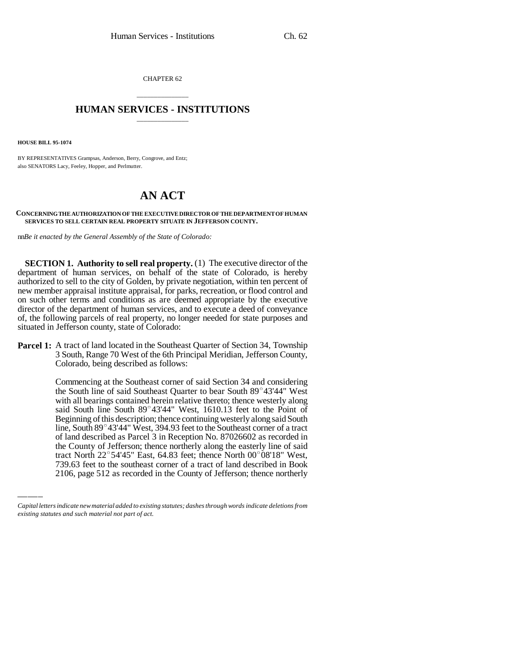CHAPTER 62

## \_\_\_\_\_\_\_\_\_\_\_\_\_\_\_ **HUMAN SERVICES - INSTITUTIONS** \_\_\_\_\_\_\_\_\_\_\_\_\_\_\_

**HOUSE BILL 95-1074**

BY REPRESENTATIVES Grampsas, Anderson, Berry, Congrove, and Entz; also SENATORS Lacy, Feeley, Hopper, and Perlmutter.

## **AN ACT**

## **CONCERNING THE AUTHORIZATION OF THE EXECUTIVE DIRECTOR OF THE DEPARTMENT OF HUMAN SERVICES TO SELL CERTAIN REAL PROPERTY SITUATE IN JEFFERSON COUNTY.**

nn*Be it enacted by the General Assembly of the State of Colorado:*

**SECTION 1. Authority to sell real property.** (1) The executive director of the department of human services, on behalf of the state of Colorado, is hereby authorized to sell to the city of Golden, by private negotiation, within ten percent of new member appraisal institute appraisal, for parks, recreation, or flood control and on such other terms and conditions as are deemed appropriate by the executive director of the department of human services, and to execute a deed of conveyance of, the following parcels of real property, no longer needed for state purposes and situated in Jefferson county, state of Colorado:

**Parcel 1:** A tract of land located in the Southeast Quarter of Section 34, Township 3 South, Range 70 West of the 6th Principal Meridian, Jefferson County, Colorado, being described as follows:

> Commencing at the Southeast corner of said Section 34 and considering the South line of said Southeast Quarter to bear South 89°43'44" West with all bearings contained herein relative thereto; thence westerly along said South line South 89°43'44" West, 1610.13 feet to the Point of Beginning of this description; thence continuing westerly along said South line, South 89°43'44" West, 394.93 feet to the Southeast corner of a tract of land described as Parcel 3 in Reception No. 87026602 as recorded in the County of Jefferson; thence northerly along the easterly line of said tract North  $22^{\circ}$  54'45" East, 64.83 feet; thence North 00 $^{\circ}$ 08'18" West, 739.63 feet to the southeast corner of a tract of land described in Book 2106, page 512 as recorded in the County of Jefferson; thence northerly

*Capital letters indicate new material added to existing statutes; dashes through words indicate deletions from existing statutes and such material not part of act.*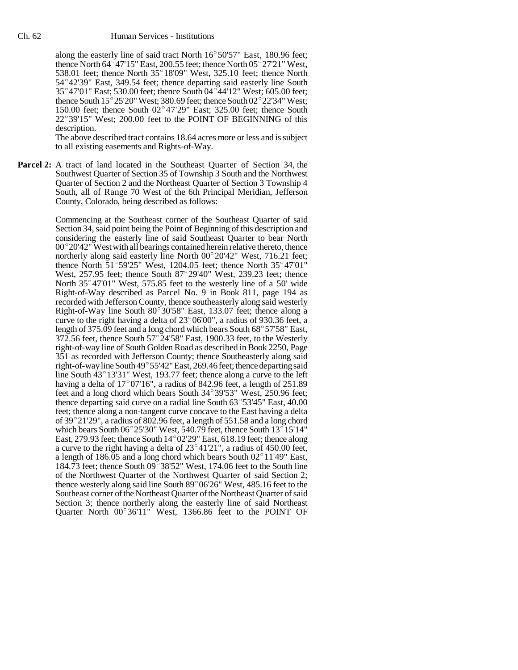Human Services - Institutions<br>along the easterly line of said tract North 16°50'57" East, 180.96 feet; along the easterly line of said tract North  $16^{\circ}50'57"$  East, 180.96 feet;<br>thence North 64°47'15" East, 200.55 feet; thence North 05°27'21" West, thence North  $64^{\circ}47'15''$  East, 200.55 feet; thence North  $05^{\circ}27'21''$  West, 538.01 feet; thence North  $35^{\circ}18'09''$  West, 325.10 feet; thence North thence North 64°47'15" East, 200.55 feet; thence North 05°27'21" West, 538.01 feet; thence North 35°18'09" West, 325.10 feet; thence North 54°42'39" East, 349.54 feet; thence departing said easterly line South 538.01 feet; thence North 35°18'09" West, 325.10 feet; thence North 54°42'39" East, 349.54 feet; thence departing said easterly line South 35°47'01" East; 530.00 feet; thence South 04°44'12" West; 605.00 feet;  $35^{\circ}47'01''$  East; 530.00 feet; thence South 04 $^{\circ}44'12''$  West; 605.00 feet; thence South 15 $^{\circ}25'20''$  West; 380.69 feet; thence South 02 $^{\circ}22'34''$  West; 150.00 feet; thence South  $02^{\circ}47'29''$  East; 325.00 feet; thence South 22°39'15" West; 200.00 feet to the POINT OF BEGINNING of this description.

The above described tract contains 18.64 acres more or less and is subject to all existing easements and Rights-of-Way.

**Parcel 2:** A tract of land located in the Southeast Quarter of Section 34, the Southwest Quarter of Section 35 of Township 3 South and the Northwest Quarter of Section 2 and the Northeast Quarter of Section 3 Township 4 South, all of Range 70 West of the 6th Principal Meridian, Jefferson County, Colorado, being described as follows:

> Commencing at the Southeast corner of the Southeast Quarter of said Section 34, said point being the Point of Beginning of this description and considering the easterly line of said Southeast Quarter to bear North Section 34, said point being the Point of Beginning of this description and<br>considering the easterly line of said Southeast Quarter to bear North<br>00°20'42" West with all bearings contained herein relative thereto, thence considering the easterly line of said Southeast Quarter to bear North 00°20'42" West with all bearings contained herein relative thereto, thence northerly along said easterly line North 00°20'42" West, 716.21 feet; 00°20'42" West with all bearings contained herein relative thereto, thence northerly along said easterly line North  $00^{\circ}20'42''$  West, 716.21 feet; thence North  $51^{\circ}59'25''$  West, 1204.05 feet; thence North  $35^{\circ}47'$ thence North  $\overline{51}^\circ 59'25''$  West, 1204.05 feet; thence North  $35^\circ 47'01''$  West, 237.95 feet; thence South  $87^\circ 29'40''$  West, 239.23 feet; thence North  $35^{\circ}47'01''$  West,  $575.85$  feet to the westerly line of a 50' wide Right-of-Way described as Parcel No. 9 in Book 811, page 194 as recorded with Jefferson County, thence southeasterly along said westerly Right-of-Way described as Parcel No. 9 in Book 811, page 194 as<br>recorded with Jefferson County, thence southeasterly along said westerly<br>Right-of-Way line South 80°30'58" East, 133.07 feet; thence along a Right-of-Way line South  $80^{\circ}30'58''$  East, 133.07 feet; thence along a curve to the right having a delta of  $23^{\circ}06'00''$ , a radius of 930.36 feet, a length of 375.09 feet and a long chord which bears South  $68^{\circ}57'58''$  East, 372.56 feet, thence South  $57^{\circ}24'58''$  East, 1900.33 feet, to length of 375.09 feet and a long chord which bears South  $68^{\circ}57'58"$  East, right-of-way line of South Golden Road as described in Book 2250, Page 351 as recorded with Jefferson County; thence Southeasterly along said right-of-way line of South Golden Road as described in Book 2250, Page<br>351 as recorded with Jefferson County; thence Southeasterly along said<br>right-of-way line South 49° 55'42" East, 269.46 feet; thence departing said 351 as recorded with Jefferson County; thence Southeasterly along said<br>right-of-way line South 49° 55'42" East, 269.46 feet; thence departing said<br>line South 43° 13'31" West, 193.77 feet; thence along a curve to the left line South  $43^{\circ}13'31''$  West, 193.77 feet; thence along a curve to the left having a delta of  $17°07'16"$ , a radius of 842.96 feet, a length of 251.89 feet and a long chord which bears South  $34^{\circ}39'53''$  West, 250.96 feet; thence departing said curve on a radial line South  $63^{\circ}53'45''$  East, 40.00 feet; thence along a non-tangent curve concave to the East having a delta thence departing said curve on a radial line South 63°53'45" East, 40.00<br>feet; thence along a non-tangent curve concave to the East having a delta<br>of 39°21'29", a radius of 802.96 feet, a length of 551.58 and a long chord feet; thence along a non-tangent curve concave to the East having a delta<br>of 39°21'29", a radius of 802.96 feet, a length of 551.58 and a long chord<br>which bears South 06°25'30" West, 540.79 feet, thence South 13°15'14" of 39°21'29", a radius of 802.96 feet, a length of 551.58 and a long chord<br>which bears South 06°25'30" West, 540.79 feet, thence South 13°15'14"<br>East, 279.93 feet; thence South 14°02'29" East, 618.19 feet; thence along East, 279.93 feet; thence South  $14^{\circ}02'29''$  East, 618.19 feet; thence along a curve to the right having a delta of  $23^{\circ}41'21'$ , a radius of 450.00 feet, a length of 186.05 and a long chord which bears South  $02^{\circ}11'49''$  East, 184.73 feet; thence South  $09^{\circ}38'52''$  West, 174.06 feet to the South line of the Northwest Quarter of the Northwest Quarter of said Section 2; thence westerly along said line South  $89^{\circ}06'26''$  West, 485.16 feet to the Southeast corner of the Northeast Quarter of the Northeast Quarter of said Section 3; thence northerly along the easterly line of said Northeast Quarter North  $00^{\circ}36'11''$  West, 1366.86 feet to the POINT OF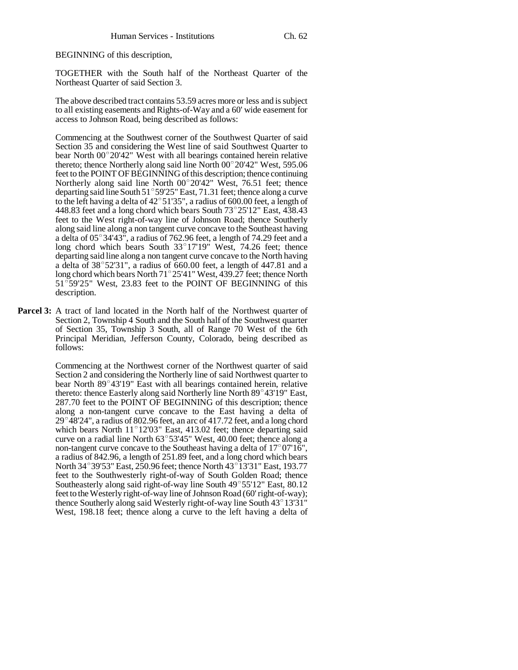BEGINNING of this description,

TOGETHER with the South half of the Northeast Quarter of the Northeast Quarter of said Section 3.

The above described tract contains 53.59 acres more or less and is subject to all existing easements and Rights-of-Way and a 60' wide easement for access to Johnson Road, being described as follows:

Commencing at the Southwest corner of the Southwest Quarter of said Section 35 and considering the West line of said Southwest Quarter to Commencing at the Southwest corner of the Southwest Quarter of said Section 35 and considering the West line of said Southwest Quarter to bear North  $00^{\circ}20'42''$  West with all bearings contained herein relative Section 35 and considering the West line of said Southwest Quarter to bear North  $00^{\circ}20'42''$  West with all bearings contained herein relative thereto; thence Northerly along said line North  $00^{\circ}20'42''$  West, 595.06 feet to the POINT OF BEGINNING of this description; thence continuing thereto; thence Northerly along said line North 00°20'42" West, 595.06<br>feet to the POINT OF BEGINNING of this description; thence continuing<br>Northerly along said line North 00°20'42" West, 76.51 feet; thence feet to the POINT OF BEGINNING of this description; thence continuing<br>Northerly along said line North 00°20'42" West, 76.51 feet; thence<br>departing said line South 51°59'25" East, 71.31 feet; thence along a curve departing said line South 51°59'25" East, 71.31 feet; thence along a curve to the left having a delta of  $42^{\circ}51'35''$ , a radius of 600.00 feet, a length of 448.83 feet and a long chord which bears South 73°25'12" East, to the left having a delta of  $42^{\circ}51'35''$ , a radius of 600.00 feet, a length of feet to the West right-of-way line of Johnson Road; thence Southerly along said line along a non tangent curve concave to the Southeast having feet to the West right-of-way line of Johnson Road; thence Southerly<br>along said line along a non tangent curve concave to the Southeast having<br>a delta of 05°34'43", a radius of 762.96 feet, a length of 74.29 feet and a a delta of  $05^{\circ}34'43''$ , a radius of  $762.96$  feet, a length of  $74.29$  feet and a long chord which bears South  $33^{\circ}17'19''$  West,  $74.26$  feet; thence departing said line along a non tangent curve concave to the North having long chord which bears South  $33^{\circ}17'19''$  West, 74.26 feet; thence departing said line along a non tangent curve concave to the North having a delta of  $38^{\circ}52'31''$ , a radius of 660.00 feet, a length of 447.81 and a departing said line along a non tangent curve concave to the North having<br>a delta of 38°52'31", a radius of 660.00 feet, a length of 447.81 and a<br>long chord which bears North 71°25'41" West, 439.27 feet; thence North long chord which bears North 71°25'41" West, 439.27 feet; thence North 51°59'25" West, 23.83 feet to the POINT OF BEGINNING of this description.

**Parcel 3:** A tract of land located in the North half of the Northwest quarter of Section 2, Township 4 South and the South half of the Southwest quarter of Section 35, Township 3 South, all of Range 70 West of the 6th Principal Meridian, Jefferson County, Colorado, being described as follows:

> Commencing at the Northwest corner of the Northwest quarter of said Section 2 and considering the Northerly line of said Northwest quarter to Commencing at the Northwest corner of the Northwest quarter of said<br>Section 2 and considering the Northerly line of said Northwest quarter to<br>bear North 89°43'19" East with all bearings contained herein, relative Section 2 and considering the Northerly line of said Northwest quarter to<br>bear North 89°43'19" East with all bearings contained herein, relative<br>thereto: thence Easterly along said Northerly line North 89°43'19" East, 287.70 feet to the POINT OF BEGINNING of this description; thence along a non-tangent curve concave to the East having a delta of 287.70 feet to the POINT OF BEGINNING of this description; thence<br>along a non-tangent curve concave to the East having a delta of<br>29°48'24", a radius of 802.96 feet, an arc of 417.72 feet, and a long chord along a non-tangent curve concave to the East having a delta of 29°48'24", a radius of 802.96 feet, an arc of 417.72 feet, and a long chord which bears North 11°12'03" East, 413.02 feet; thence departing said 29°48'24", a radius of 802.96 feet, an arc of 417.72 feet, and a long chord<br>which bears North 11°12'03" East, 413.02 feet; thence departing said<br>curve on a radial line North 63°53'45" West, 40.00 feet; thence along a curve on a radial line North  $63^{\circ}53'45''$  West, 40.00 feet; thence along a non-tangent curve concave to the Southeast having a delta of  $17^{\circ}07'16''$ , a radius of 842.96, a length of 251.89 feet, and a long chord which bears non-tangent curve concave to the Southeast having a delta of 17°07'16",<br>a radius of 842.96, a length of 251.89 feet, and a long chord which bears<br>North 34°39'53" East, 250.96 feet; thence North 43°13'31" East, 193.77 feet to the Southwesterly right-of-way of South Golden Road; thence North 34°39'53" East, 250.96 feet; thence North 43°13'31" East, 193.77 feet to the Southwesterly right-of-way of South Golden Road; thence Southeasterly along said right-of-way line South 49°55'12" East, 80.12 feet to the Westerly right-of-way line of Johnson Road (60' right-of-way); thence Southerly along said Westerly right-of-way line South 43°13'31" West, 198.18 feet; thence along a curve to the left having a delta of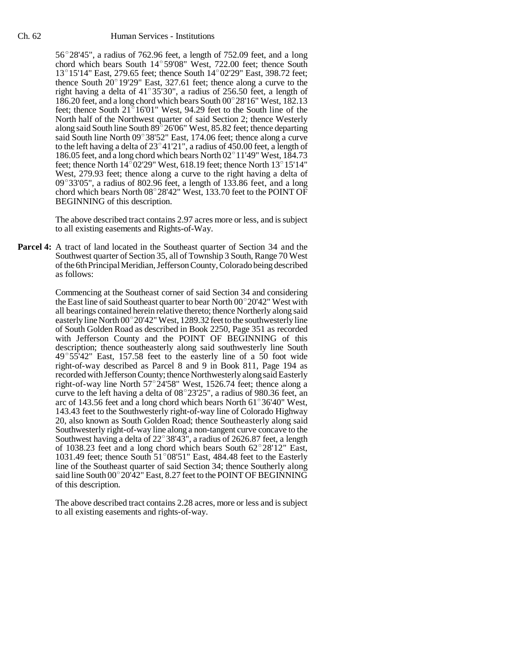## Ch. 62 Human Services - Institutions

Human Services - Institutions<br>56°28'45", a radius of 762.96 feet, a length of 752.09 feet, and a long  $56^{\circ}28'45''$ , a radius of 762.96 feet, a length of 752.09 feet, and a long chord which bears South  $14^{\circ}59'08''$  West, 722.00 feet; thence South chord which bears South  $14^{\circ}59'08''$  West, 722.00 feet; thence South  $13^{\circ}15'14''$  East, 279.65 feet; thence South  $14^{\circ}02'29''$  East, 398.72 feet; chord which bears South  $14^{\circ}59'08''$  West, 722.00 feet; thence South  $13^{\circ}15'14''$  East, 279.65 feet; thence South  $14^{\circ}02'29''$  East, 398.72 feet; thence South  $20^{\circ}19'29''$  East, 327.61 feet; thence along a curve t 13°15'14" East, 279.65 feet; thence South 14°02'29" East, 398.72 feet; thence South 20°19'29" East, 327.61 feet; thence along a curve to the right having a delta of 41°35'30", a radius of 256.50 feet, a length of right having a delta of  $41^{\circ}35'30''$ , a radius of 256.50 feet, a length of 186.20 feet, and a long chord which bears South 00°28'16" West, 182.13 feet; thence South  $21^{\circ}16'01''$  West, 94.29 feet to the South line of the North half of the Northwest quarter of said Section 2; thence Westerly feet; thence South 21°16'01" West, 94.29 feet to the South line of the<br>North half of the Northwest quarter of said Section 2; thence Westerly<br>along said South line South 89°26'06" West, 85.82 feet; thence departing along said South line South  $89^{\circ}$  26'06" West, 85.82 feet; thence departing said South line North  $09^{\circ}$  38'52" East, 174.06 feet; thence along a curve along said South line South 89°26'06" West, 85.82 feet; thence departing<br>said South line North 09°38'52" East, 174.06 feet; thence along a curve<br>to the left having a delta of 23°41'21", a radius of 450.00 feet, a length of said South line North 09°38'52" East, 174.06 feet; thence along a curve<br>to the left having a delta of 23°41'21", a radius of 450.00 feet, a length of<br>186.05 feet, and a long chord which bears North 02°11'49" West, 184.73 186.05 feet, and a long chord which bears North  $02^{\circ}$  11'49" West, 184.73 feet; thence North 14 $^{\circ}$ 02'29" West, 618.19 feet; thence North 13 $^{\circ}$ 15'14" West, 279.93 feet; thence along a curve to the right having a delta of feet; thence North 14°02'29" West, 618.19 feet; thence North 13°15'14"<br>West, 279.93 feet; thence along a curve to the right having a delta of<br>09°33'05", a radius of 802.96 feet, a length of 133.86 feet, and a long West, 279.93 feet; thence along a curve to the right having a delta of 09°33'05", a radius of 802.96 feet, a length of 133.86 feet, and a long chord which bears North 08°28'42" West, 133.70 feet to the POINT OF BEGINNING of this description.

The above described tract contains 2.97 acres more or less, and is subject to all existing easements and Rights-of-Way.

**Parcel 4:** A tract of land located in the Southeast quarter of Section 34 and the Southwest quarter of Section 35, all of Township 3 South, Range 70 West of the 6th Principal Meridian, Jefferson County, Colorado being described as follows:

> Commencing at the Southeast corner of said Section 34 and considering the East line of said Southeast quarter to bear North  $00^{\circ}20'42''$  West with all bearings contained herein relative thereto; thence Northerly along said easterly line North 00° 20'42" West, 1289.32 feet to the southwesterly line of South Golden Road as described in Book 2250, Page 351 as recorded with Jefferson County and the POINT OF BEGINNING of this description; thence southeasterly along said southwesterly line South with Jefferson County and the POINT OF BEGINNING of this description; thence southeasterly along said southwesterly line South 49°55'42" East, 157.58 feet to the easterly line of a 50 foot wide right-of-way described as Parcel 8 and 9 in Book 811, Page 194 as recorded with Jefferson County; thence Northwesterly along said Easterly right-of-way described as Parcel 8 and 9 in Book 811, Page 194 as<br>recorded with Jefferson County; thence Northwesterly along said Easterly<br>right-of-way line North 57°24'58" West, 1526.74 feet; thence along a recorded with Jefferson County; thence Northwesterly along said Easterly<br>right-of-way line North 57°24'58" West, 1526.74 feet; thence along a<br>curve to the left having a delta of 08°23'25", a radius of 980.36 feet, an curve to the left having a delta of  $08^{\circ}23'25''$ , a radius of 980.36 feet, an arc of 143.56 feet and a long chord which bears North 61 $^{\circ}36'40''$  West, 143.43 feet to the Southwesterly right-of-way line of Colorado Highway 20, also known as South Golden Road; thence Southeasterly along said Southwesterly right-of-way line along a non-tangent curve concave to the 20, also known as South Golden Road; thence Southeasterly along said<br>Southwesterly right-of-way line along a non-tangent curve concave to the<br>Southwest having a delta of 22°38'43", a radius of 2626.87 feet, a length Southwesterly right-of-way line along a non-tangent curve concave to the<br>Southwest having a delta of 22°38'43", a radius of 2626.87 feet, a length<br>of 1038.23 feet and a long chord which bears South 62°28'12" East, of 1038.23 feet and a long chord which bears South  $62^{\circ}28'12''$  East, 1031.49 feet; thence South  $51^{\circ}08'51''$  East, 484.48 feet to the Easterly line of the Southeast quarter of said Section 34; thence Southerly along said line South 00° 20'42" East, 8.27 feet to the POINT OF BEGINNING of this description.

> The above described tract contains 2.28 acres, more or less and is subject to all existing easements and rights-of-way.